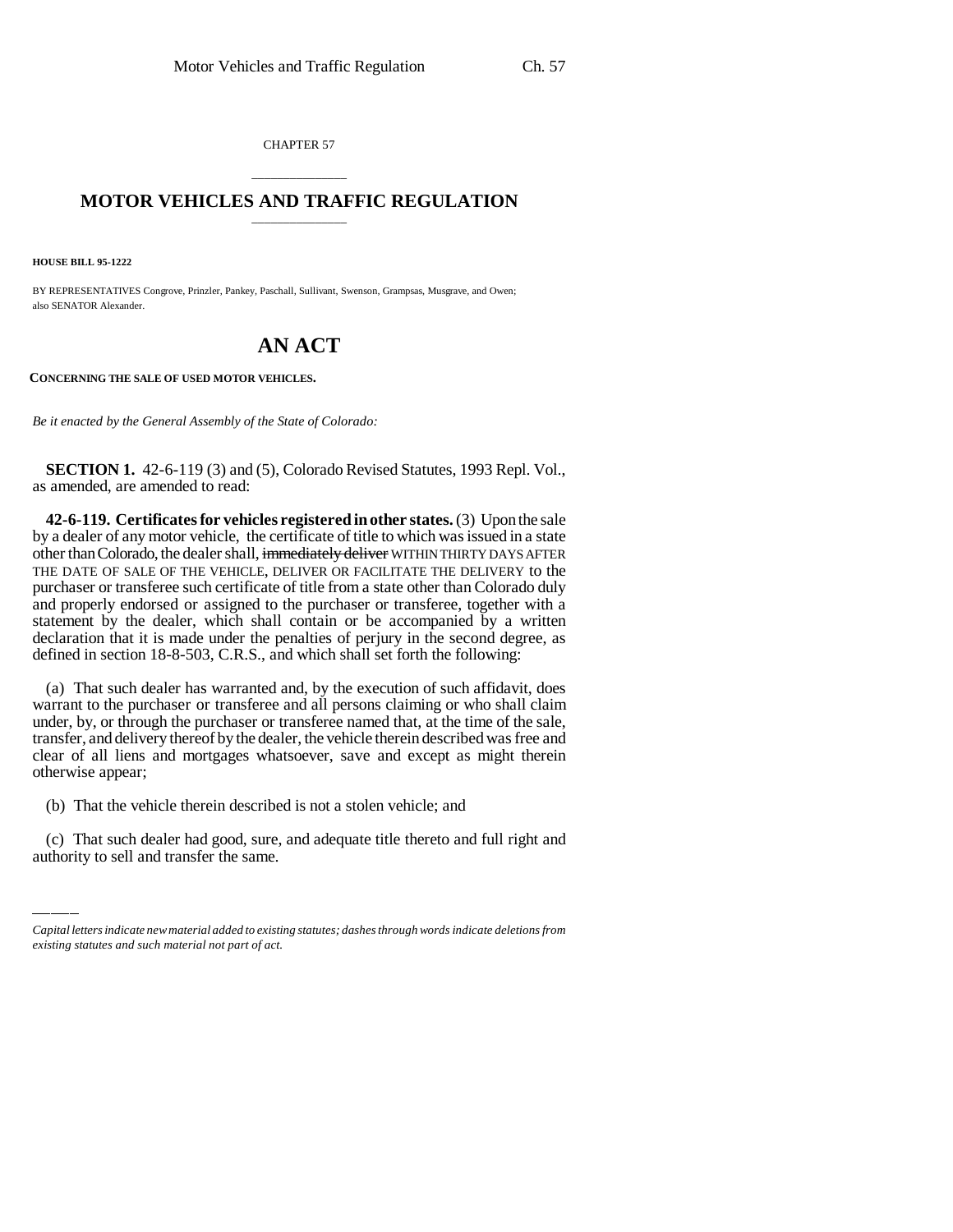CHAPTER 57

## \_\_\_\_\_\_\_\_\_\_\_\_\_\_\_ **MOTOR VEHICLES AND TRAFFIC REGULATION** \_\_\_\_\_\_\_\_\_\_\_\_\_\_\_

**HOUSE BILL 95-1222**

BY REPRESENTATIVES Congrove, Prinzler, Pankey, Paschall, Sullivant, Swenson, Grampsas, Musgrave, and Owen; also SENATOR Alexander.

## **AN ACT**

**CONCERNING THE SALE OF USED MOTOR VEHICLES.**

*Be it enacted by the General Assembly of the State of Colorado:*

**SECTION 1.** 42-6-119 (3) and (5), Colorado Revised Statutes, 1993 Repl. Vol., as amended, are amended to read:

**42-6-119. Certificates for vehicles registered in other states.** (3) Upon the sale by a dealer of any motor vehicle, the certificate of title to which was issued in a state other than Colorado, the dealer shall, immediately deliver WITHIN THIRTY DAYS AFTER THE DATE OF SALE OF THE VEHICLE, DELIVER OR FACILITATE THE DELIVERY to the purchaser or transferee such certificate of title from a state other than Colorado duly and properly endorsed or assigned to the purchaser or transferee, together with a statement by the dealer, which shall contain or be accompanied by a written declaration that it is made under the penalties of perjury in the second degree, as defined in section 18-8-503, C.R.S., and which shall set forth the following:

(a) That such dealer has warranted and, by the execution of such affidavit, does warrant to the purchaser or transferee and all persons claiming or who shall claim under, by, or through the purchaser or transferee named that, at the time of the sale, transfer, and delivery thereof by the dealer, the vehicle therein described was free and clear of all liens and mortgages whatsoever, save and except as might therein otherwise appear;

(b) That the vehicle therein described is not a stolen vehicle; and

(c) That such dealer had good, sure, and adequate title thereto and full right and authority to sell and transfer the same.

*Capital letters indicate new material added to existing statutes; dashes through words indicate deletions from existing statutes and such material not part of act.*